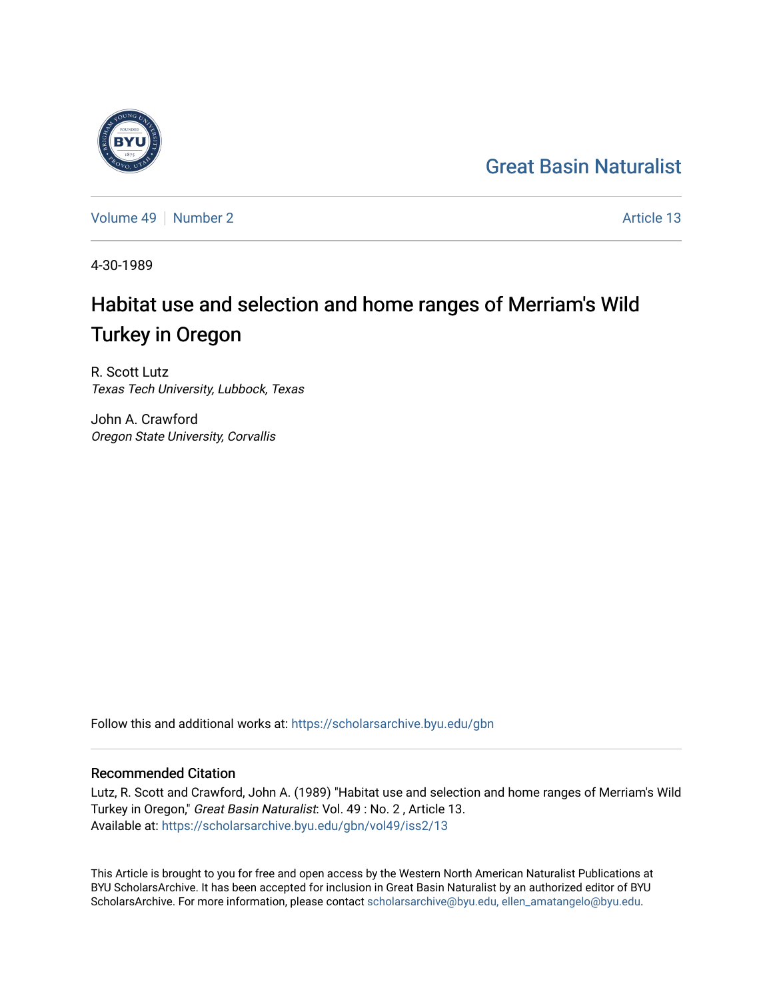## [Great Basin Naturalist](https://scholarsarchive.byu.edu/gbn)



[Volume 49](https://scholarsarchive.byu.edu/gbn/vol49) [Number 2](https://scholarsarchive.byu.edu/gbn/vol49/iss2) Article 13

4-30-1989

# Habitat use and selection and home ranges of Merriam's Wild Turkey in Oregon

R. Scott Lutz Texas Tech University, Lubbock, Texas

John A. Crawford Oregon State University, Corvallis

Follow this and additional works at: [https://scholarsarchive.byu.edu/gbn](https://scholarsarchive.byu.edu/gbn?utm_source=scholarsarchive.byu.edu%2Fgbn%2Fvol49%2Fiss2%2F13&utm_medium=PDF&utm_campaign=PDFCoverPages) 

### Recommended Citation

Lutz, R. Scott and Crawford, John A. (1989) "Habitat use and selection and home ranges of Merriam's Wild Turkey in Oregon," Great Basin Naturalist: Vol. 49 : No. 2 , Article 13. Available at: [https://scholarsarchive.byu.edu/gbn/vol49/iss2/13](https://scholarsarchive.byu.edu/gbn/vol49/iss2/13?utm_source=scholarsarchive.byu.edu%2Fgbn%2Fvol49%2Fiss2%2F13&utm_medium=PDF&utm_campaign=PDFCoverPages) 

This Article is brought to you for free and open access by the Western North American Naturalist Publications at BYU ScholarsArchive. It has been accepted for inclusion in Great Basin Naturalist by an authorized editor of BYU ScholarsArchive. For more information, please contact [scholarsarchive@byu.edu, ellen\\_amatangelo@byu.edu.](mailto:scholarsarchive@byu.edu,%20ellen_amatangelo@byu.edu)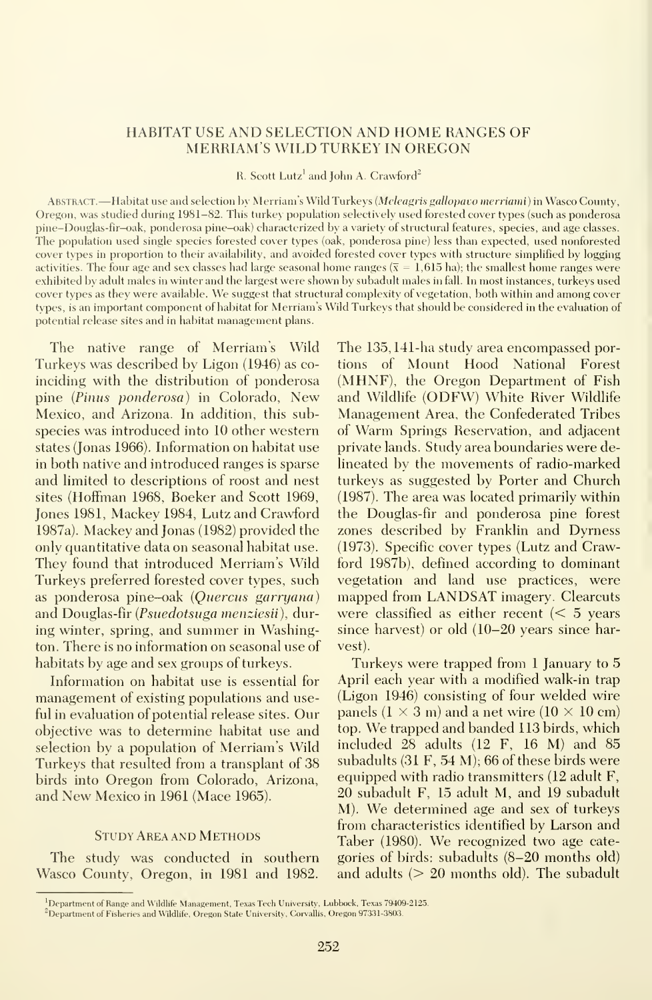#### HABITAT USE AND SELECTION AND HOME RANGES OF MERRIAM'S WILD TURKEY IN OREGON

R. Scott Lutz<sup>1</sup> and John A. Crawford<sup>2</sup> —

ABSTRACT. - Habitat use and selection by Merriam's Wild Turkeys (Meleagris gallopavo merriami) in Wasco County, Oregon, was studied during 1981-82. This turkey population selectively used forested cover types (such as ponderosa pine-Douglas-fir-oak, ponderosa pine-oak) characterized by a variety of structural features, species, and age classes. The population used single species forested cover types (oak, ponderosa pine) less than expected, used nonforested cover types in proportion to their availability, and avoided forested cover types with structure simplified by logging activities. The four age and sex classes had large seasonal home ranges ( $\bar{x} = 1.615$  ha); the smallest home ranges were exhibited by adult males in winter and the largest were shown by subadult males in fall. In most instances, turkeys used cover types as they were available. We suggest that structural complexity of vegetation, both within and among cover types, is an important component of habitat for Merriam's Wild Turkeys that should be considered in the evaluation of potential release sites and in habitat management plans.

The native range of Merriam's Wild Turkeys was described by Ligon (1946) as co inciding with the distribution of ponderosa pine (Pinus ponderosa) in Colorado, New Mexico, and Arizona. In addition, this subspecies was introduced into 10 other western states (Jonas 1966). Information on habitat use in both native and introduced ranges is sparse and limited to descriptions of roost and nest sites (Hoffman 1968, Boeker and Scott 1969, Jones 1981, Mackey 1984, Lutz and Crawford 1987a). Mackey and Jonas (1982) provided the only quantitative data on seasonal habitat use. They found that introduced Merriam's Wild Turkeys preferred forested cover types, such as ponderosa pine-oak (Quercus garryana) and Douglas-fir (Psuedotsuga menziesii), during winter, spring, and summer in Washington. There is no information on seasonal use of habitats by age and sex groups of turkeys.

Information on habitat use is essential for management of existing populations and useful in evaluation of potential release sites. Our objective was to determine habitat use and selection by a population of Merriam's Wild Turkeys that resulted from a transplant of 38 birds into Oregon from Colorado, Arizona, and New Mexico in 1961 (Mace 1965).

#### Study Area and Methods

The study was conducted in southern Wasco County, Oregon, in 1981 and 1982. The 135,141-ha study area encompassed portions of Mount Hood National Forest (MHNF), the Oregon Department of Fish and Wildlife (ODFW) White River Wildlife Management Area, the Confederated Tribes of Warm Springs Reservation, and adjacent private lands. Study area boundaries were delineated by the movements of radio-marked turkeys as suggested by Porter and Church (1987). The area was located primarily within the Douglas-fir and ponderosa pine forest zones described by Franklin and Dyrness (1973). Specific cover types (Lutz and Crawford 1987b), defined according to dominant vegetation and land use practices, were mapped from LANDSAT imagery. Clearcuts were classified as either recent  $\zeta$  5 years since harvest) or old (10-20 years since harvest).

Turkeys were trapped from <sup>1</sup> January to 5 April each year with a modified walk-in trap (Ligon 1946) consisting of four welded wire panels  $(1 \times 3 \text{ m})$  and a net wire  $(10 \times 10 \text{ cm})$ top. We trapped and banded <sup>113</sup> birds, which included 28 adults (12 F, 16 M) and 85 subadults (31 F, 54 M); 66 of these birds were equipped with radio transmitters (12 adult F, 20 subadult F, 15 adult M, and 19 subadult M). We determined age and sex of turkeys from characteristics identified by Larson and Taber (1980). We recognized two age cate gories of birds: subadults (8-20 months old) and adults (> 20 months old). The subadult

<sup>&#</sup>x27;Department of Range and Wildlife Management, Texas Tech University, Lubbock, Texas 79409-2125.

<sup>&</sup>lt;sup>2</sup>Department of Fisheries and Wildlife, Oregon State University, Corvallis, Oregon 97331-3803.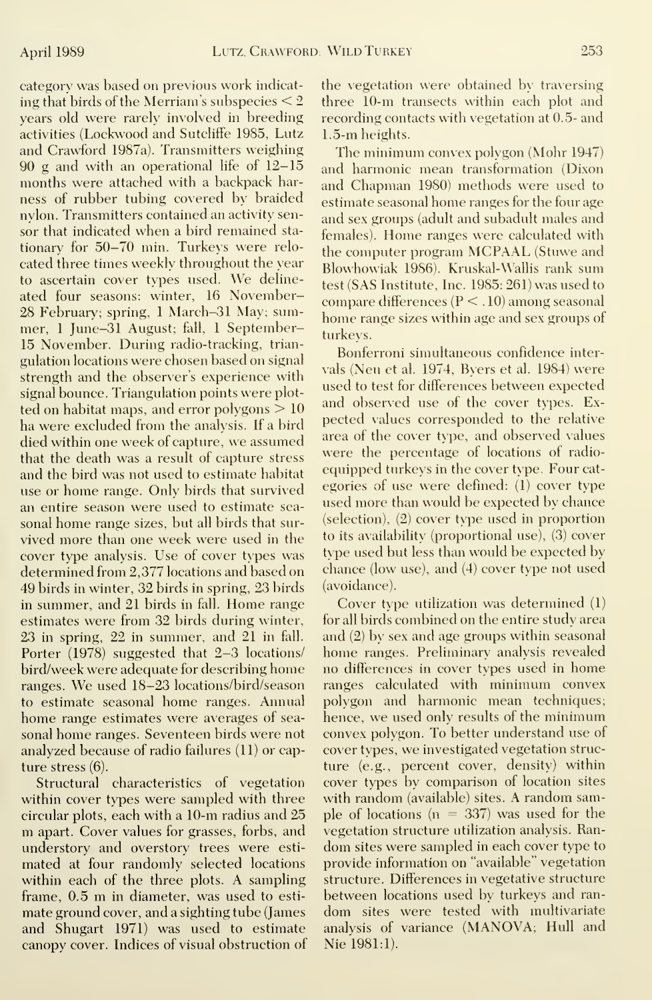category was based on previous work indicat ing that birds of the Merriam's subspecies  $\leq 2$ years old were rarely involved in breeding activities (Lockwood and Sutcliffe 1985, Lutz and Crawford 1987a). Transmitters weighing 90 g and with an operational life of 12-15 months were attached with a backpack har ness of rubber tubing covered by braided nylon. Transmitters contained an activity sensor that indicated when a bird remained stationary for 50-70 min. Turkeys were relo cated three times weekly throughout the year to ascertain cover types used. We delineated four seasons: winter, 16 November-28 February; spring, <sup>1</sup> March-31 May; summer, <sup>1</sup> June-31 August; fall, <sup>1</sup> September-15 November. During radio-tracking, trian gulation locations were chosen based on signal strength and the observer's experience with signal bounce. Triangulation points were plotted on habitat maps, and error polygons  $>10$ ha were excluded from the analysis. If a bird died within one week of capture, we assumed that the death was a result of capture stress and the bird was not used to estimate habitat use or home range. Only birds that survived an entire season were used to estimate sea sonal home range sizes, but all birds that sur vived more than one week were used in the cover type analysis. Use of cover types was determined from 2,377 locations and based on 49 birds in winter, 32 birds in spring, 23 birds in summer, and 21 birds in fall. Home range estimates were from 32 birds during winter, 23 in spring, 22 in summer, and 21 in fall. Porter (1978) suggested that 2-3 locations/ bird/week were adequate for describing home ranges. We used 18-23 locations/bird/season to estimate seasonal home ranges. Annual home range estimates were averages of sea sonal home ranges. Seventeen birds were not analyzed because of radio failures (11) or capture stress (6).

Structural characteristics of vegetation within cover types were sampled with three circular plots, each with a 10-m radius and 25 m apart. Cover values for grasses, forbs, and understory and overstory trees were esti mated at four randomly selected locations within each of the three plots. A sampling frame, 0.5 m in diameter, was used to esti mate ground cover, and a sighting tube (James and Shugart 1971) was used to estimate canopy cover. Indices of visual obstruction of the vegetation were obtained by traversing three 10-m transects within each plot and recording contacts with vegetation at 0.5- and 1.5-m heights.

The minimum convex polygon (Mohr 1947) and harmonic mean transformation (Dixon and Chapman 1980) methods were used to estimate seasonal home ranges for the four age and sex groups (adult and subadult males and females). Home ranges were calculated with the computer program MCPAAL (Stuwe and Blowhowiak 1986). Kruskal-Wallis rank sum test (SAS Institute, Inc. 1985: 261) was used to compare differences (P < . 10) among seasonal home range sizes within age and sex groups of turkeys.

Bonferroni simultaneous confidence inter vals (Neu et al. 1974, Byers et al. 1984) were used to test for differences between expected and observed use of the cover types. Ex pected values corresponded to the relative area of the cover type, and observed values were the percentage of locations of radio equipped turkeys in the cover type. Four cat egories of use were defined: (1) cover type used more than would be expected by chance (selection), (2) cover type used in proportion to its availability (proportional use), (3) cover type used but less than would be expected by chance (low use), and (4) cover type not used (avoidance).

Cover type utilization was determined (1) for all birds combined on the entire study area and (2) by sex and age groups within seasonal home ranges. Preliminary analysis revealed no differences in cover types used in home ranges calculated with minimum convex polygon and harmonic mean techniques; hence, we used only results of the minimum convex polygon. To better understand use of cover types, we investigated vegetation struc ture (e.g., percent cover, density) within cover types by comparison of location sites with random (available) sites. A random sample of locations ( $n = 337$ ) was used for the vegetation structure utilization analysis. Ban dom sites were sampled in each cover type to provide information on "available" vegetation structure. Differences in vegetative structure between locations used by turkeys and ran dom sites were tested with multivariate analysis of variance (MANOVA; Hull and Nie 1981:1).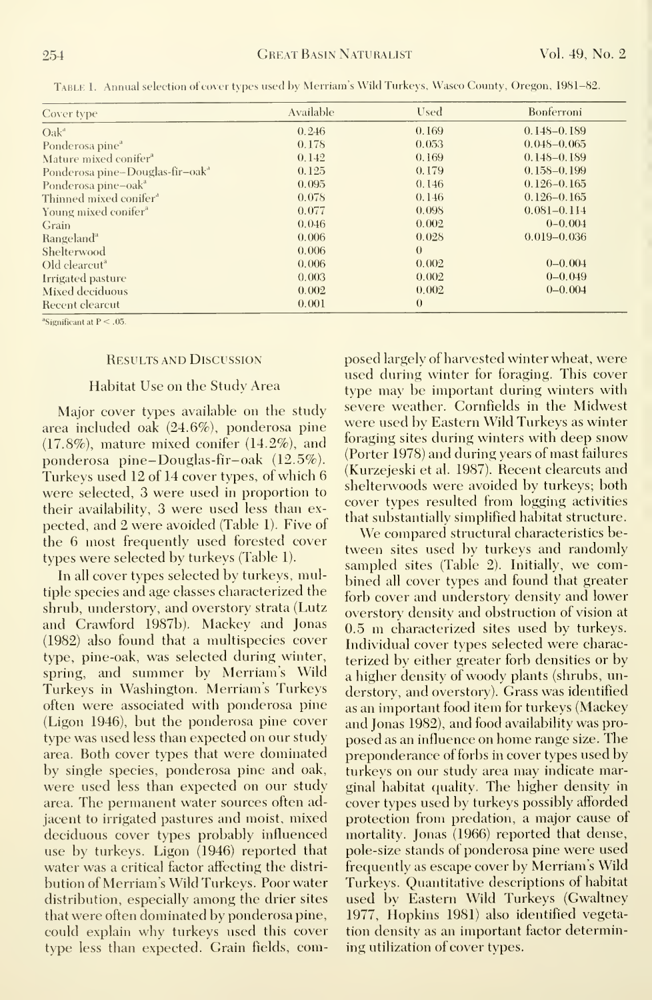| Cover type                                  | Available | Used     | Bonferroni      |
|---------------------------------------------|-----------|----------|-----------------|
| $Oak^d$                                     | 0.246     | 0.169    | $0.148 - 0.189$ |
| Ponderosa pine <sup>a</sup>                 | 0.178     | 0.053    | $0.048 - 0.065$ |
| Mature mixed conifer <sup>a</sup>           | 0.142     | 0.169    | $0.148 - 0.189$ |
| Ponderosa pine-Douglas-fir-oak <sup>a</sup> | 0.125     | 0.179    | $0.158 - 0.199$ |
| Ponderosa pine-oak <sup>a</sup>             | 0.095     | 0.146    | $0.126 - 0.165$ |
| Thinned mixed conifer <sup>a</sup>          | 0.078     | 0.146    | $0.126 - 0.165$ |
| Young mixed conifer <sup>a</sup>            | 0.077     | 0.098    | $0.081 - 0.114$ |
| <b>Grain</b>                                | 0.046     | 0.002    | $0 - 0.004$     |
| Rangeland <sup>a</sup>                      | 0.006     | 0.028    | $0.019 - 0.036$ |
| Shelterwood                                 | 0.006     | $\theta$ |                 |
| Old clearcut <sup>a</sup>                   | 0.006     | 0.002    | $0 - 0.004$     |
| Irrigated pasture                           | 0.003     | 0.002    | $0 - 0.049$     |
| Mixed deciduous                             | 0.002     | 0.002    | $0 - 0.004$     |
| <b>Recent clearcut</b>                      | 0.001     | $\theta$ |                 |

Table 1. Annual selection of cover types used by Merriam's Wild Turkeys, Wasco County, Oregon, 1981-82.

<sup>a</sup>Significant at  $P < .05$ .

#### **RESULTS AND DISCUSSION**

#### Habitat Use on the Study Area

Major cover types available on the study area included oak (24.6%), ponderosa pine  $(17.8\%)$ , mature mixed conifer  $(14.2\%)$ , and ponderosa pine-Douglas-fir-oak  $(12.5\%)$ . Turkeys used 12 of 14 cover types, of which 6 were selected, 3 were used in proportion to their availability, 3 were used less than expected, and 2 were avoided (Table 1). Five of the 6 most frequently used forested cover types were selected by turkeys (Table 1).

In all cover types selected by turkeys, multiple species and age classes characterized the shrub, understory, and overstory strata (Lutz and Crawford 1987b). Mackey and Jonas (1982) also found that a multispecies cover type, pine-oak, was selected during winter, spring, and summer by Merriam's Wild Turkeys in Washington. Merriam's Turkeys often were associated with ponderosa pine (Ligon 1946), but the ponderosa pine cover type was used less than expected on our study area. Both cover types that were dominated by single species, ponderosa pine and oak, were used less than expected on our study area. The permanent water sources often adjacent to irrigated pastures and moist, mixed deciduous cover types probably influenced use by turkeys. Ligon (1946) reported that water was a critical factor affecting the distribution of Merriam's Wild Turkeys. Poor water distribution, especially among the drier sites that were often dominated by ponderosa pine, could explain why turkeys used this cover type less than expected. Grain fields, composed largely of harvested winter wheat, were used during winter for foraging. This cover type may be important during winters with severe weather. Cornfields in the Midwest were used by Eastern Wild Turkeys as winter foraging sites during winters with deep snow (Porter 1978) and during years of mast failures (Kurzejeski et al. 1987). Recent clearcuts and shelterwoods were avoided by turkeys; both cover types resulted from logging activities that substantially simplified habitat structure.

We compared structural characteristics between sites used by turkeys and randomly sampled sites (Table 2). Initially, we combined all cover types and found that greater forb cover and understory density and lower overstory density and obstruction of vision at 0.5 m characterized sites used by turkeys. Individual cover types selected were characterized by either greater forb densities or by a higher density of woody plants (shrubs, understory, and overstory). Grass was identified as an important food item for turkeys (Mackey and Jonas 1982), and food availability was proposed as an influence on home range size. The preponderance of forbs in cover types used by turkeys on our study area may indicate marginal habitat quality. The higher density in cover types used by turkeys possibly afforded protection from predation, a major cause of mortality. Jonas (1966) reported that dense, pole-size stands of ponderosa pine were used frequently as escape cover by Merriam's Wild Turkeys. Quantitative descriptions of habitat used by Eastern Wild Turkeys (Gwaltney 1977, Hopkins 1981) also identified vegetation density as an important factor determining utilization of cover types.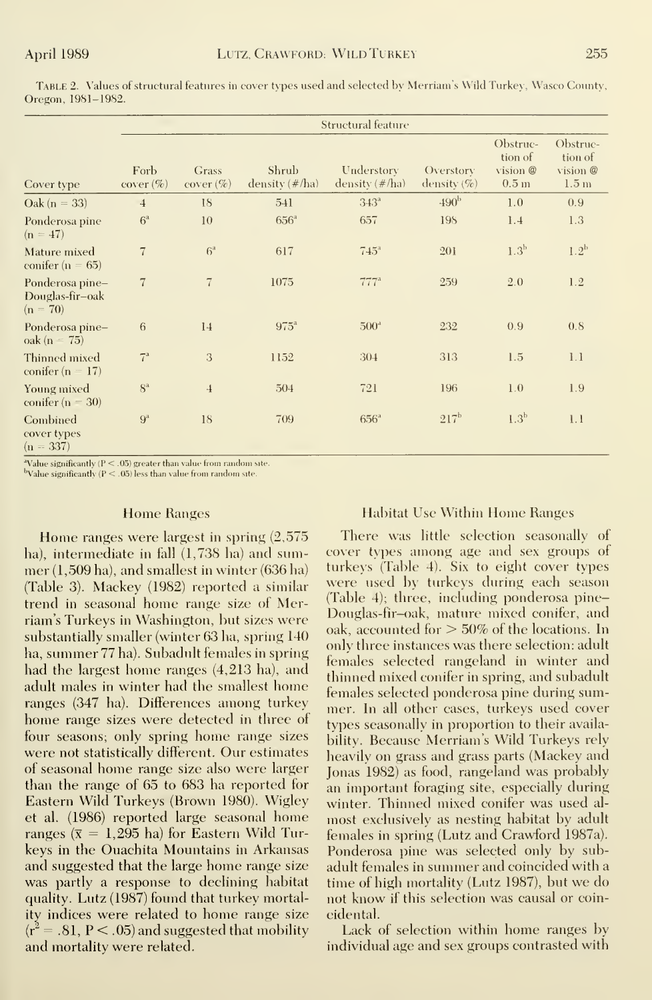Table 2. Values of structural features in cover types used and selected by Merriam's Wild Turkey, Wasco County, Oregon, 1981-1982.

|                                                  | Structural feature   |                       |                            |                                 |                             |                                                     |                                                     |
|--------------------------------------------------|----------------------|-----------------------|----------------------------|---------------------------------|-----------------------------|-----------------------------------------------------|-----------------------------------------------------|
| Cover type                                       | Forb<br>$cover (\%)$ | Grass<br>$cover (\%)$ | Shrub<br>density $(\#/ha)$ | Understory<br>density $(\#/ha)$ | Overstory<br>density $(\%)$ | Obstruc-<br>tion of<br>vision @<br>0.5 <sub>m</sub> | Obstruc-<br>tion of<br>vision @<br>1.5 <sub>m</sub> |
| $\mathrm{Oak}$ (n = 33)                          | $\overline{4}$       | 18                    | 541                        | 343 <sup>a</sup>                | 490 <sup>b</sup>            | 1.0                                                 | 0.9                                                 |
| Ponderosa pine<br>$(n = 47)$                     | $6^{\circ}$          | 10                    | $656^{\circ}$              | 657                             | 198                         | 1.4                                                 | 1.3                                                 |
| Mature mixed<br>conifer ( $n = 65$ )             | $\overline{7}$       | $6^{\circ}$           | 617                        | $745^{\circ}$                   | 201                         | 1.3 <sup>b</sup>                                    | 1.2 <sup>b</sup>                                    |
| Ponderosa pine-<br>Douglas-fir-oak<br>$(n = 70)$ | $\overline{7}$       | $\overline{7}$        | 1075                       | $777^a$                         | 259                         | 2.0                                                 | 1.2                                                 |
| Ponderosa pine-<br>$oak (n = 75)$                | 6                    | 14                    | $975^{\circ}$              | 500 <sup>d</sup>                | 232                         | 0.9                                                 | 0.8                                                 |
| Thinned mixed<br>conifer ( $n = 17$ )            | $7^{\circ}$          | 3                     | 1152                       | 304                             | 313                         | 1.5                                                 | 1.1                                                 |
| Young mixed<br>conifer $(n = 30)$                | $8^{\rm a}$          | $\overline{4}$        | 504                        | 721                             | 196                         | 1.0                                                 | 1.9                                                 |
| Combined<br>cover types<br>$(n = 337)$           | $9^a$                | 18                    | 709                        | $656^{\circ}$                   | $217^{\rm b}$               | 1.3 <sup>b</sup>                                    | 1.1                                                 |

<sup>a</sup>Value significantly ( $P < .05$ ) greater than value from random site.

bValue significantly ( $P < .05$ ) less than value from random site.

#### **Home Ranges**

Home ranges were largest in spring  $(2,575)$ ha), intermediate in fall (1,738 ha) and summer (1,509 ha), and smallest in winter (636 ha) (Table 3). Mackey (1982) reported a similar trend in seasonal home range size of Merriam's Turkeys in Washington, but sizes were substantially smaller (winter 63 ha, spring 140 ha, summer 77 ha). Subadult females in spring had the largest home ranges (4,213 ha), and adult males in winter had the smallest home ranges (347 ha). Differences among turkey home range sizes were detected in three of four seasons; only spring home range sizes were not statistically different. Our estimates of seasonal home range size also were larger than the range of 65 to 683 ha reported for Eastern Wild Turkeys (Brown 1980). Wigley et al. (1986) reported large seasonal home ranges ( $\bar{x} = 1,295$  ha) for Eastern Wild Turkeys in the Ouachita Mountains in Arkansas and suggested that the large home range size was partly a response to declining habitat quality. Lutz (1987) found that turkey mortality indices were related to home range size  $(r^2=.81, P<.05)$  and suggested that mobility and mortality were related.

#### **Habitat Use Within Home Ranges**

There was little selection seasonally of cover types among age and sex groups of turkeys (Table 4). Six to eight cover types were used by turkeys during each season (Table 4); three, including ponderosa pine-Douglas-fir-oak, mature mixed conifer, and oak, accounted for  $> 50\%$  of the locations. In only three instances was there selection: adult females selected rangeland in winter and thinned mixed conifer in spring, and subadult females selected ponderosa pine during summer. In all other cases, turkeys used cover types seasonally in proportion to their availability. Because Merriam's Wild Turkeys rely heavily on grass and grass parts (Mackey and Jonas 1982) as food, rangeland was probably an important foraging site, especially during winter. Thinned mixed conifer was used almost exclusively as nesting habitat by adult females in spring (Lutz and Crawford 1987a). Ponderosa pine was selected only by subadult females in summer and coincided with a time of high mortality (Lutz 1987), but we do not know if this selection was causal or coincidental.

Lack of selection within home ranges by individual age and sex groups contrasted with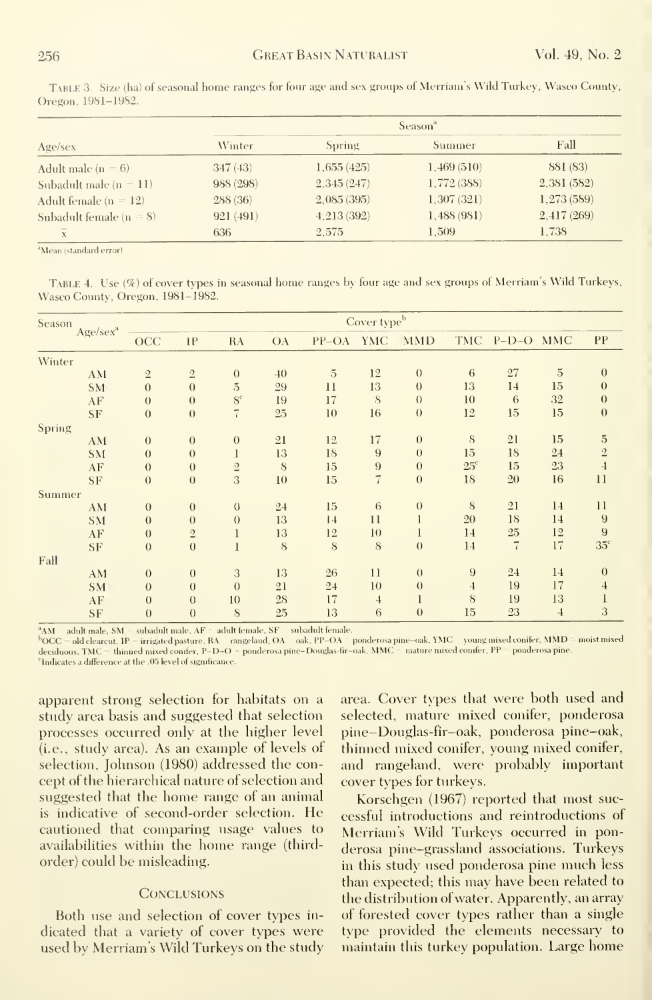Table 3. Size (ha) of seasonal home ranges for four age and sex groups of Merriam's Wild Turkey, Wasco County, Oregon, 1981-1982.

|                             | Season <sup>a</sup> |               |             |             |  |
|-----------------------------|---------------------|---------------|-------------|-------------|--|
| Age/sec                     | Winter              | <b>Spring</b> | Summer      | Fall        |  |
| Adult male ( $n = 6$ )      | 347(43)             | 1,655(425)    | 1,469(510)  | 881 (83)    |  |
| Subadult male $(n = 11)$    | 988 (298)           | 2,345(247)    | 1,772 (388) | 2,381(582)  |  |
| Adult female $(n = 12)$     | 288(36)             | 2,085(395)    | 1,307(321)  | 1,273 (589) |  |
| Subadult female ( $n = 8$ ) | 921(491)            | 4,213(392)    | 1,488(981)  | 2,417(269)  |  |
| $\overline{x}$              | 636                 | 2.575         | 1.509       | 1.738       |  |

<sup>a</sup>Mean (standard error)

TABLE 4. Use (%) of cover types in seasonal home ranges by four age and sex groups of Merriam's Wild Turkeys, Wasco County, Oregon, 1981-1982.

| TMC P-D-O MMC<br>27<br>14<br>6<br>15 | $\overline{5}$<br>15<br>32                       | PP<br>$\mathbf{0}$<br>$\overline{0}$<br>$\boldsymbol{0}$ |
|--------------------------------------|--------------------------------------------------|----------------------------------------------------------|
|                                      |                                                  |                                                          |
|                                      |                                                  |                                                          |
|                                      |                                                  |                                                          |
|                                      |                                                  |                                                          |
|                                      |                                                  |                                                          |
|                                      | 15                                               | $\boldsymbol{0}$                                         |
|                                      |                                                  |                                                          |
| 21                                   | 15                                               | $\overline{5}$                                           |
| 18                                   | 24                                               | $\sqrt{2}$                                               |
| 15                                   | 23                                               | $\overline{4}$                                           |
| 20                                   | 16                                               | 11                                                       |
|                                      |                                                  |                                                          |
| 21                                   | 14                                               | 11                                                       |
| 18                                   | 14                                               | 9                                                        |
|                                      |                                                  | 9                                                        |
|                                      |                                                  | 35 <sup>c</sup>                                          |
|                                      |                                                  |                                                          |
|                                      |                                                  | $\theta$                                                 |
|                                      |                                                  | $\overline{4}$                                           |
|                                      |                                                  | $\mathbf{l}$                                             |
|                                      |                                                  | 3                                                        |
|                                      | $25\,$<br>$\overline{7}$<br>24<br>19<br>19<br>23 | 12<br>17<br>14<br>17<br>13<br>$\overline{4}$             |

 $\begin{array}{ll} ^{\text{8}}\text{AM} & \text{ adult male, SM = subadult male, AF = adult female, SF = subadult female,}\\ ^{\text{8}}\text{OCC = old clearcut, IP = triggered pasture, RA = rangeland, OA = oak, PP=OA = ponderosa pipe-oak, YMC = young mixed conifer, MMD = moist mixed deciduons, TMC = thinned mixed confer, P=D=O = ponderosa pipe-Douglas-fir-oak, MMC = mature mixed confer, PP = ponderosa pipe.} \end{array}$ <sup>c</sup>Indicates a difference at the .05 level of significance.

apparent strong selection for habitats on a study area basis and suggested that selection processes occurred only at the higher level (*i.e.*, study area). As an example of levels of selection, Johnson (1980) addressed the concept of the hierarchical nature of selection and suggested that the home range of an animal is indicative of second-order selection. He cautioned that comparing usage values to availabilities within the home range (thirdorder) could be misleading.

#### **CONCLUSIONS**

Both use and selection of cover types indicated that a variety of cover types were used by Merriam's Wild Turkeys on the study area. Cover types that were both used and selected, mature mixed conifer, ponderosa pine-Douglas-fir-oak, ponderosa pine-oak, thinned mixed conifer, young mixed conifer, and rangeland, were probably important cover types for turkeys.

Korschgen (1967) reported that most successful introductions and reintroductions of Merriam's Wild Turkeys occurred in ponderosa pine-grassland associations. Turkeys in this study used ponderosa pine much less than expected; this may have been related to the distribution of water. Apparently, an array of forested cover types rather than a single type provided the elements necessary to maintain this turkey population. Large home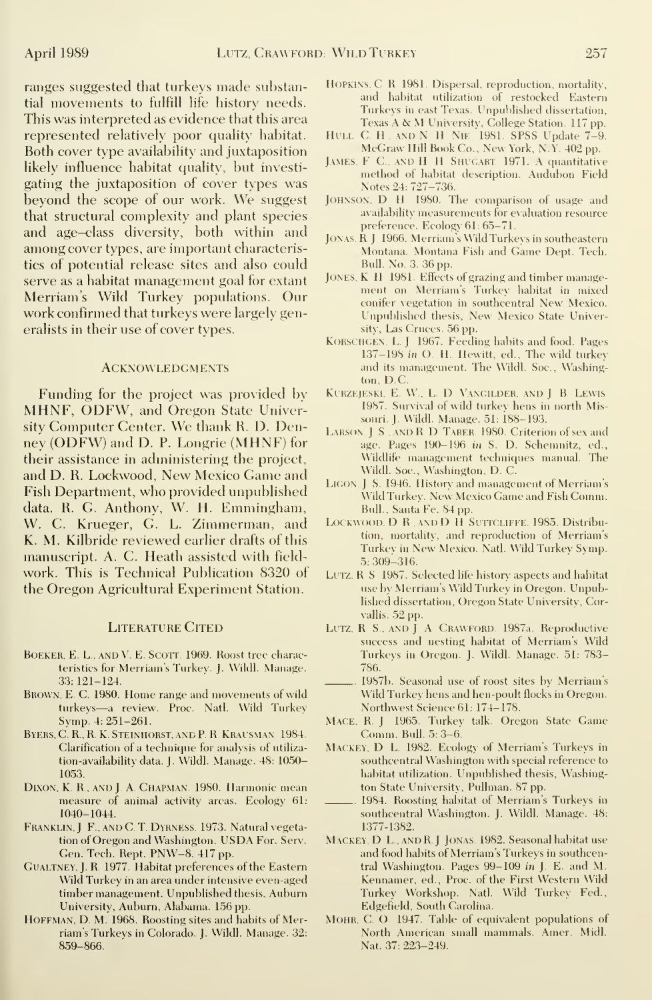ranges suggested that turkeys made substantial movements to fulfill life history needs. This was interpreted as evidence that this area represented relatively poor quality habitat. Both cover type availability and juxtaposition likely influence habitat quality, but investi gating the juxtaposition of cover types was beyond the scope of our work. We suggest that structural complexity and plant species and age—class diversity, both within and among cover types, are important characteristics of potential release sites and also could serve as a habitat management goal for extant Merriam's Wild Turkey populations. Our work confirmed that turkeys were largely generalists in their use of cover types.

#### **ACKNOWLEDGMENTS**

Funding for the project was provided by MHNF, ODFW, and Oregon State University Computer Center. We thank R. D. Denney (ODFW) and D. P. Longrie (MHNF) for their assistance in administering the project, and D. R. Lockwood, New Mexico Game and Fish Department, who provided unpublished data. R. G. Anthony, W. H. Emmingham, W. C. Krueger, G. L. Zimmerman, and K. M. Kilbride reviewed earlier drafts of this manuscript. A. C. Heath assisted with field work. This is Technical Publication 8320 of the Oregon Agricultural Experiment Station.

#### LITERATURE CITED

- BOEKER, E. L., AND V. E. SCOTT. 1969. Roost tree characteristics for Merriam's Turkey. J. Wildl. Manage. 33: 121-124.
- BROWN, E. C. 1980. Home range and movements of wild turkeys—<sup>a</sup> review. Proc. Natl. Wild Turkey Symp. 4: 251-261.
- Byers.C. R..R. K Steinhorst, and P.R. Krausman. 1984. Clarification of a technique for analysis of utiliza tion-availability data. J. Wildl. Manage. 48: 1050- 1053.
- DIXON, K. R., AND J. A. CHAPMAN. 1980. Harmonic mean measure of animal activity areas. Ecology 61: 1040-1044.
- FRANKLIN, J. F., AND C. T. DYRNESS. 1973. Natural vegetation of Oregon and Washington. USDA For. Serv. Gen. Tech. Rept. PNW-8. 417 pp.
- Gualtney, J. R. 1977. Habitat preferences of the Eastern Wild Turkey in an area under intensive even-aged timber management. Unpublished thesis. Auburn University, Auburn, Alabama. 156 pp.
- HOFFMAN, D. M. 1968. Roosting sites and habits of Merriam's Turkeys in Colorado. J. Wildl. Manage. 32: 859-866.
- Hopkins. C R 1981. Dispersal, reproduction, mortality, and habitat utilization of restocked Eastern Turkeys in east Texas. Unpublished dissertation, Texas A & M University, College Station. 117 pp.<br>HULL C. H. AND N H NIE 1981. SPSS Update 7-9.
- McGraw Hill Book Co., New York, N.Y. 402 pp.
- JAMES, F C., AND H H SHUGART 1971. A quantitative method of habitat description. Audubon Field Notes 24: 727-736.
- JOHNSON, D. H. 1980. The comparison of usage and availability measurements for evaluation resource preference. Ecology 61: 65-71.
- JONAS, R. J. 1966. Merriam's Wild Turkeys in southeastern Montana. Montana Fish and Game Dept. Tech. Bull. No. 3. 36 pp.
- JONES, K. H. 1981. Effects of grazing and timber management on Merriam's Turkey habitat in mixed conifer vegetation in southcentral New Mexico. Unpublished thesis. New Mexico State University, Las Cruces. 56 pp.
- Korschcen, L. J. 1967. Feeding habits and food. Pages 137-198 in (). H. Hewitt, ed., The wild turkey and its management. The Wildl. Soc., Washington, D.C.
- KURZEJESKI, E. W., L. D. VANGILDER. AND J. B. LEWIS. 1987. Survival of wild turkey hens in north Missouri. J. Wildl. Manage. 51: 188-193.
- LARSON. J S . AND R D TABER 1980. Criterion of sex and age. Pages 190-196 in S. D. Schemnitz, ed., Wildlife management techniques manual. The Wildl. Soc, Washington, D. C.
- LIGON, J. S. 1946. History and management of Merriam's Wild Turkey. New Mexico Game and Fish Comm. Bull., Santa Fe. S4 pp.
- LOCKWOOD, D. R. AND D. H. SUTTCLIFFE. 1985. Distribution, mortality, and reproduction of Merriam's Turkey in New Mexico. Natl. Wild Turkey Symp. 5: 309-316.
- LUTZ. R S 1987. Selected life history aspects and habitat use by Merriam's Wild Turkey in Oregon. Unpublished dissertation, Oregon State University, Corvallis. 52 pp.
- LUTZ, R S., AND J A CRAWFORD. 1987a. Reproductive success and nesting habitat of Merriam's Wild Turkevs in Oregon. J. Wildl. Manage. 51: 783- 786.
- 1987b. Seasonal use of roost sites by Merriam's Wild Turkey hens and hen-poult flocks in Oregon. Northwest Science 61: 174-178.
- Mace. R <sup>J</sup> 1965. Turkey talk. Oregon State Game Comm. Bull. 5: 3-6.
- MACKEY, D. L. 1982. Ecology of Merriam's Turkeys in southcentral Washington with special reference to habitat utilization. Unpublished thesis, Washington State University, Pullman. 87 pp.
- 1984. Roosting habitat of Merriam's Turkeys in southcentral Washington. J. Wildl. Manage. 48: 1377-1382.
- Mackey, D L, and R <sup>J</sup> Jonas 1982. Seasonal habitat use and food habits of Merriam's Turkeys in southcentral Washington. Pages 99-109 in J. E. and M. Kennamer, ed., Proc. of the First Western Wild Turkey Workshop. Natl. Wild Turkey Fed., Edgefield, South Carolina.
- Mohr. C O 1947. Table of equivalent populations of North American small mammals. Amer. Midi. Nat. 37: 223-249.